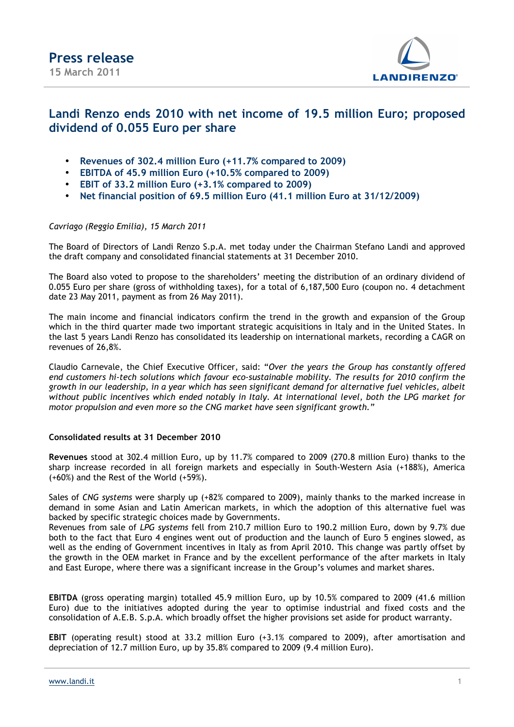

## **Landi Renzo ends 2010 with net income of 19.5 million Euro; proposed dividend of 0.055 Euro per share**

- **Revenues of 302.4 million Euro (+11.7% compared to 2009)**
- **EBITDA of 45.9 million Euro (+10.5% compared to 2009)**
- **EBIT of 33.2 million Euro (+3.1% compared to 2009)**
- **Net financial position of 69.5 million Euro (41.1 million Euro at 31/12/2009)**

### *Cavriago (Reggio Emilia), 15 March 2011*

The Board of Directors of Landi Renzo S.p.A. met today under the Chairman Stefano Landi and approved the draft company and consolidated financial statements at 31 December 2010.

The Board also voted to propose to the shareholders' meeting the distribution of an ordinary dividend of 0.055 Euro per share (gross of withholding taxes), for a total of 6,187,500 Euro (coupon no. 4 detachment date 23 May 2011, payment as from 26 May 2011).

The main income and financial indicators confirm the trend in the growth and expansion of the Group which in the third quarter made two important strategic acquisitions in Italy and in the United States. In the last 5 years Landi Renzo has consolidated its leadership on international markets, recording a CAGR on revenues of 26,8%.

Claudio Carnevale, the Chief Executive Officer, said: "*Over the years the Group has constantly offered end customers hi-tech solutions which favour eco-sustainable mobility. The results for 2010 confirm the growth in our leadership, in a year which has seen significant demand for alternative fuel vehicles, albeit without public incentives which ended notably in Italy. At international level, both the LPG market for motor propulsion and even more so the CNG market have seen significant growth."* 

### **Consolidated results at 31 December 2010**

**Revenues** stood at 302.4 million Euro, up by 11.7% compared to 2009 (270.8 million Euro) thanks to the sharp increase recorded in all foreign markets and especially in South-Western Asia (+188%), America (+60%) and the Rest of the World (+59%).

Sales of *CNG systems* were sharply up (+82% compared to 2009), mainly thanks to the marked increase in demand in some Asian and Latin American markets, in which the adoption of this alternative fuel was backed by specific strategic choices made by Governments.

Revenues from sale of *LPG systems* fell from 210.7 million Euro to 190.2 million Euro, down by 9.7% due both to the fact that Euro 4 engines went out of production and the launch of Euro 5 engines slowed, as well as the ending of Government incentives in Italy as from April 2010. This change was partly offset by the growth in the OEM market in France and by the excellent performance of the after markets in Italy and East Europe, where there was a significant increase in the Group's volumes and market shares.

**EBITDA** (gross operating margin) totalled 45.9 million Euro, up by 10.5% compared to 2009 (41.6 million Euro) due to the initiatives adopted during the year to optimise industrial and fixed costs and the consolidation of A.E.B. S.p.A. which broadly offset the higher provisions set aside for product warranty.

**EBIT** (operating result) stood at 33.2 million Euro (+3.1% compared to 2009), after amortisation and depreciation of 12.7 million Euro, up by 35.8% compared to 2009 (9.4 million Euro).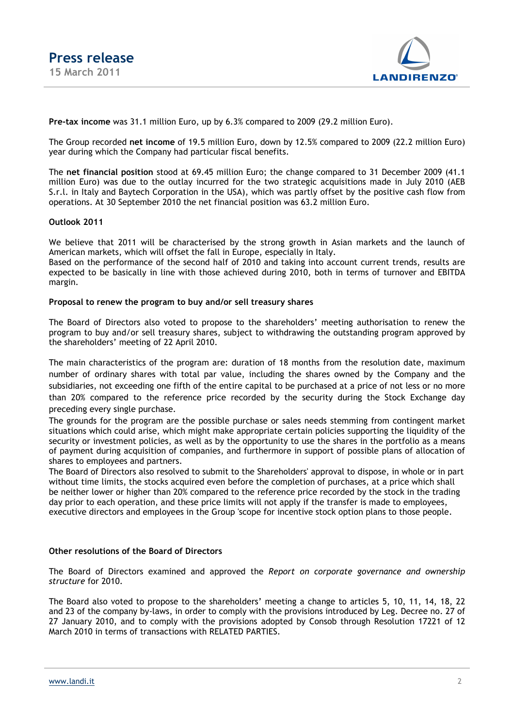

**Pre-tax income** was 31.1 million Euro, up by 6.3% compared to 2009 (29.2 million Euro).

The Group recorded **net income** of 19.5 million Euro, down by 12.5% compared to 2009 (22.2 million Euro) year during which the Company had particular fiscal benefits.

The **net financial position** stood at 69.45 million Euro; the change compared to 31 December 2009 (41.1 million Euro) was due to the outlay incurred for the two strategic acquisitions made in July 2010 (AEB S.r.l. in Italy and Baytech Corporation in the USA), which was partly offset by the positive cash flow from operations. At 30 September 2010 the net financial position was 63.2 million Euro.

### **Outlook 2011**

We believe that 2011 will be characterised by the strong growth in Asian markets and the launch of American markets, which will offset the fall in Europe, especially in Italy.

Based on the performance of the second half of 2010 and taking into account current trends, results are expected to be basically in line with those achieved during 2010, both in terms of turnover and EBITDA margin.

### **Proposal to renew the program to buy and/or sell treasury shares**

The Board of Directors also voted to propose to the shareholders' meeting authorisation to renew the program to buy and/or sell treasury shares, subject to withdrawing the outstanding program approved by the shareholders' meeting of 22 April 2010.

The main characteristics of the program are: duration of 18 months from the resolution date, maximum number of ordinary shares with total par value, including the shares owned by the Company and the subsidiaries, not exceeding one fifth of the entire capital to be purchased at a price of not less or no more than 20% compared to the reference price recorded by the security during the Stock Exchange day preceding every single purchase.

The grounds for the program are the possible purchase or sales needs stemming from contingent market situations which could arise, which might make appropriate certain policies supporting the liquidity of the security or investment policies, as well as by the opportunity to use the shares in the portfolio as a means of payment during acquisition of companies, and furthermore in support of possible plans of allocation of shares to employees and partners.

The Board of Directors also resolved to submit to the Shareholders' approval to dispose, in whole or in part without time limits, the stocks acquired even before the completion of purchases, at a price which shall be neither lower or higher than 20% compared to the reference price recorded by the stock in the trading day prior to each operation, and these price limits will not apply if the transfer is made to employees, executive directors and employees in the Group 'scope for incentive stock option plans to those people.

### **Other resolutions of the Board of Directors**

The Board of Directors examined and approved the *Report on corporate governance and ownership structure* for 2010.

The Board also voted to propose to the shareholders' meeting a change to articles 5, 10, 11, 14, 18, 22 and 23 of the company by-laws, in order to comply with the provisions introduced by Leg. Decree no. 27 of 27 January 2010, and to comply with the provisions adopted by Consob through Resolution 17221 of 12 March 2010 in terms of transactions with RFI ATED PARTIFS.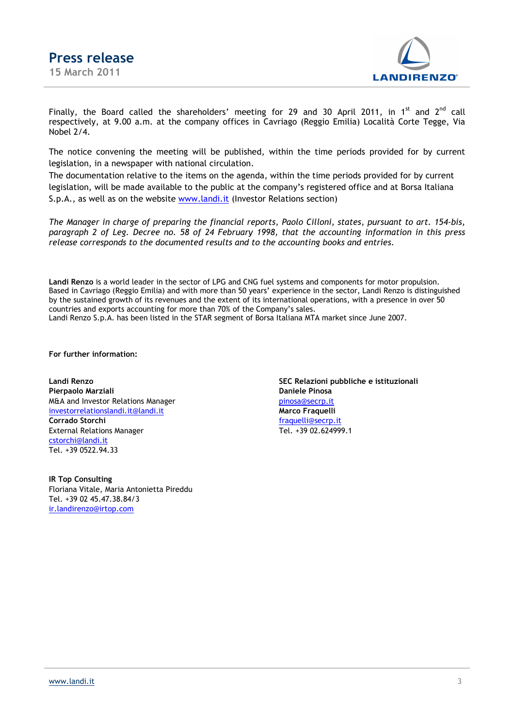

Finally, the Board called the shareholders' meeting for 29 and 30 April 2011, in 1<sup>st</sup> and 2<sup>nd</sup> call respectively, at 9.00 a.m. at the company offices in Cavriago (Reggio Emilia) Località Corte Tegge, Via Nobel 2/4.

The notice convening the meeting will be published, within the time periods provided for by current legislation, in a newspaper with national circulation.

The documentation relative to the items on the agenda, within the time periods provided for by current legislation, will be made available to the public at the company's registered office and at Borsa Italiana S.p.A., as well as on the website www.landi.it (Investor Relations section)

*The Manager in charge of preparing the financial reports, Paolo Cilloni, states, pursuant to art. 154-bis, paragraph 2 of Leg. Decree no. 58 of 24 February 1998, that the accounting information in this press release corresponds to the documented results and to the accounting books and entries.* 

**Landi Renzo** is a world leader in the sector of LPG and CNG fuel systems and components for motor propulsion. Based in Cavriago (Reggio Emilia) and with more than 50 years' experience in the sector, Landi Renzo is distinguished by the sustained growth of its revenues and the extent of its international operations, with a presence in over 50 countries and exports accounting for more than 70% of the Company's sales. Landi Renzo S.p.A. has been listed in the STAR segment of Borsa Italiana MTA market since June 2007.

**For further information:** 

**Pierpaolo Marziali Daniele Pinosa** M&A and Investor Relations Manager pinosa@secrp.it investorrelationslandi.it@landi.it **Marco Fraquelli Corrado Storchi**<br> **Corrado Storchi** fraguelli@secrp.it<br>
Fel. +39 02.624999.1 External Relations Manager cstorchi@landi.it Tel. +39 0522.94.33

**IR Top Consulting** Floriana Vitale, Maria Antonietta Pireddu Tel. +39 02 45.47.38.84/3 ir.landirenzo@irtop.com

**Landi Renzo SEC Relazioni pubbliche e istituzionali**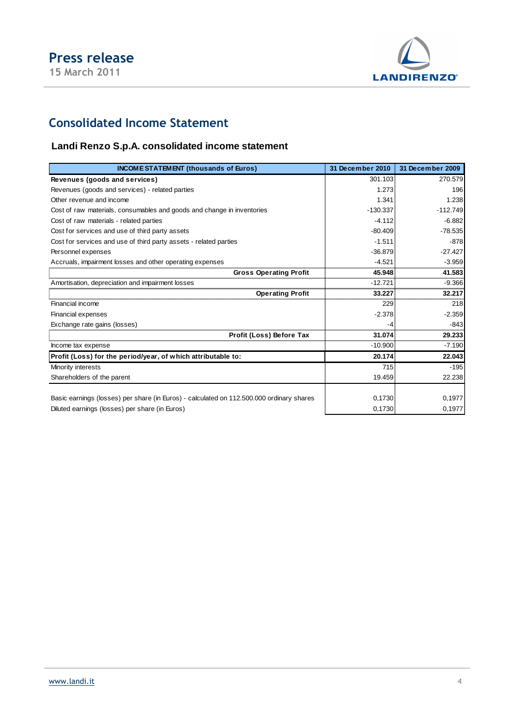

## **Consolidated Income Statement**

### **Landi Renzo S.p.A. consolidated income statement**

| <b>INCOME STATEMENT (thousands of Euros)</b>                                             | 31 December 2010 | 31 December 2009 |  |
|------------------------------------------------------------------------------------------|------------------|------------------|--|
| Revenues (goods and services)                                                            | 301.103          | 270.579          |  |
| Revenues (goods and services) - related parties                                          | 1.273            | 196              |  |
| Other revenue and income                                                                 | 1.341            | 1.238            |  |
| Cost of raw materials, consumables and goods and change in inventories                   | $-130.337$       | $-112.749$       |  |
| Cost of raw materials - related parties                                                  | $-4.112$         | $-6.882$         |  |
| Cost for services and use of third party assets                                          | $-80.409$        | $-78.535$        |  |
| Cost for services and use of third party assets - related parties                        | $-1.511$         | $-878$           |  |
| Personnel expenses                                                                       | $-36.879$        | $-27.427$        |  |
| Accruals, impairment losses and other operating expenses                                 | $-4.521$         | $-3.959$         |  |
| <b>Gross Operating Profit</b>                                                            | 45.948           | 41.583           |  |
| Amortisation, depreciation and impairment losses                                         | $-12.721$        | $-9.366$         |  |
| <b>Operating Profit</b>                                                                  | 33.227           | 32.217           |  |
| Financial income                                                                         | 229              | 218              |  |
| Financial expenses                                                                       | $-2.378$         | $-2.359$         |  |
| Exchange rate gains (losses)                                                             | -4               | $-843$           |  |
| Profit (Loss) Before Tax                                                                 | 31.074           | 29.233           |  |
| Income tax expense                                                                       | $-10.900$        | $-7.190$         |  |
| Profit (Loss) for the period/year, of which attributable to:                             | 20.174           | 22.043           |  |
| Minority interests                                                                       | 715              | $-195$           |  |
| Shareholders of the parent                                                               | 19.459           | 22.238           |  |
|                                                                                          |                  |                  |  |
| Basic earnings (losses) per share (in Euros) - calculated on 112.500.000 ordinary shares | 0,1730           | 0,1977           |  |
| Diluted earnings (losses) per share (in Euros)                                           | 0,1730           | 0,1977           |  |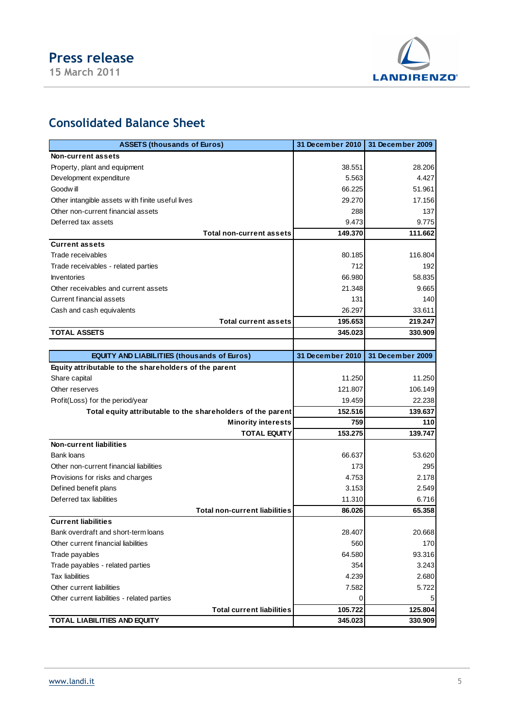

## **15 March 2011**

# **Consolidated Balance Sheet**

| <b>ASSETS (thousands of Euros)</b>                          | 31 December 2010 | 31 December 2009 |
|-------------------------------------------------------------|------------------|------------------|
| <b>Non-current assets</b>                                   |                  |                  |
| Property, plant and equipment                               | 38.551           | 28.206           |
| Development expenditure                                     | 5.563            | 4.427            |
| Goodw ill                                                   | 66.225           | 51.961           |
| Other intangible assets with finite useful lives            | 29.270           | 17.156           |
| Other non-current financial assets                          | 288              | 137              |
| Deferred tax assets                                         | 9.473            | 9.775            |
| <b>Total non-current assets</b>                             | 149.370          | 111.662          |
| <b>Current assets</b>                                       |                  |                  |
| Trade receivables                                           | 80.185           | 116.804          |
| Trade receivables - related parties                         | 712              | 192              |
| <b>Inventories</b>                                          | 66.980           | 58.835           |
| Other receivables and current assets                        | 21.348           | 9.665            |
| Current financial assets                                    | 131              | 140              |
| Cash and cash equivalents                                   | 26.297           | 33.611           |
| <b>Total current assets</b>                                 | 195.653          | 219.247          |
| <b>TOTAL ASSETS</b>                                         | 345.023          | 330.909          |
|                                                             |                  |                  |
| <b>EQUITY AND LIABILITIES (thousands of Euros)</b>          | 31 December 2010 | 31 December 2009 |
| Equity attributable to the shareholders of the parent       |                  |                  |
| Share capital                                               | 11.250           | 11.250           |
| Other reserves                                              | 121.807          | 106.149          |
| Profit(Loss) for the period/year                            | 19.459           | 22.238           |
| Total equity attributable to the shareholders of the parent | 152.516          | 139.637          |
| <b>Minority interests</b>                                   | 759              | 110              |
| <b>TOTAL EQUITY</b>                                         | 153.275          | 139.747          |
| <b>Non-current liabilities</b>                              |                  |                  |
| <b>Bank loans</b>                                           | 66.637           | 53.620           |
| Other non-current financial liabilities                     | 173              | 295              |
| Provisions for risks and charges                            | 4.753            | 2.178            |
| Defined benefit plans                                       | 3.153            | 2.549            |
| Deferred tax liabilities                                    | 11.310           | 6.716            |
| <b>Total non-current liabilities</b>                        | 86.026           | 65.358           |
| <b>Current liabilities</b>                                  |                  |                  |
| Bank overdraft and short-term loans                         | 28.407           | 20.668           |
| Other current financial liabilities                         | 560              | 170              |
| Trade payables                                              | 64.580           | 93.316           |
| Trade payables - related parties                            | 354              | 3.243            |
| <b>Tax liabilities</b>                                      | 4.239            | 2.680            |
| Other current liabilities                                   | 7.582            | 5.722            |
| Other current liabilities - related parties                 | 0                | 5                |
| <b>Total current liabilities</b>                            | 105.722          | 125.804          |
| <b>TOTAL LIABILITIES AND EQUITY</b>                         | 345.023          | 330.909          |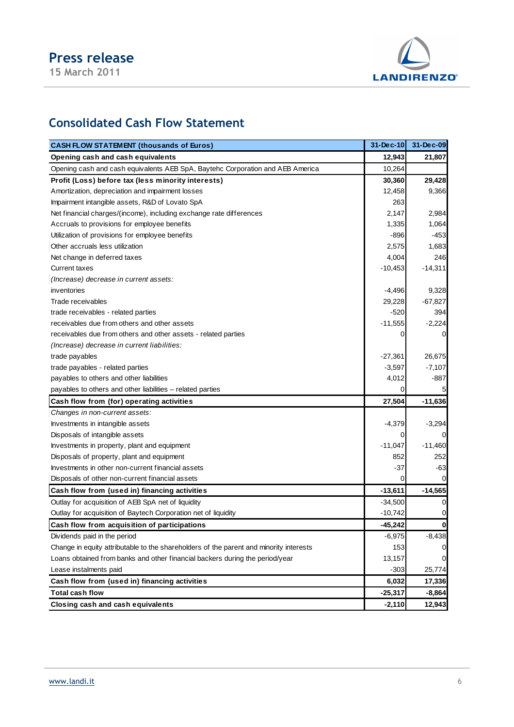**15 March 2011** 



# **Consolidated Cash Flow Statement**

| <b>CASH FLOW STATEMENT (thousands of Euros)</b>                                        | 31-Dec-10 | 31-Dec-09 |
|----------------------------------------------------------------------------------------|-----------|-----------|
| Opening cash and cash equivalents                                                      | 12,943    | 21,807    |
| Opening cash and cash equivalents AEB SpA, Baytehc Corporation and AEB America         | 10,264    |           |
| Profit (Loss) before tax (less minority interests)                                     | 30,360    | 29,428    |
| Amortization, depreciation and impairment losses                                       | 12,458    | 9,366     |
| Impairment intangible assets, R&D of Lovato SpA                                        | 263       |           |
| Net financial charges/(income), including exchange rate differences                    | 2,147     | 2,984     |
| Accruals to provisions for employee benefits                                           | 1,335     | 1,064     |
| Utilization of provisions for employee benefits                                        | $-896$    | $-453$    |
| Other accruals less utilization                                                        | 2,575     | 1,683     |
| Net change in deferred taxes                                                           | 4,004     | 246       |
| Current taxes                                                                          | $-10,453$ | $-14,311$ |
| (Increase) decrease in current assets:                                                 |           |           |
| inventories                                                                            | -4,496    | 9,328     |
| Trade receivables                                                                      | 29,228    | $-67,827$ |
| trade receivables - related parties                                                    | $-520$    | 394       |
| receivables due from others and other assets                                           | $-11,555$ | $-2,224$  |
| receivables due from others and other assets - related parties                         | 0         | 0         |
| (Increase) decrease in current liabilities:                                            |           |           |
| trade payables                                                                         | $-27,361$ | 26,675    |
| trade payables - related parties                                                       | $-3,597$  | $-7,107$  |
| payables to others and other liabilities                                               | 4,012     | $-887$    |
| payables to others and other liabilities - related parties                             | 0         |           |
| Cash flow from (for) operating activities                                              | 27,504    | $-11,636$ |
| Changes in non-current assets:                                                         |           |           |
| Investments in intangible assets                                                       | $-4,379$  | $-3,294$  |
| Disposals of intangible assets                                                         | 0         | 0         |
| Investments in property, plant and equipment                                           | -11,047   | -11,460   |
| Disposals of property, plant and equipment                                             | 852       | 252       |
| Investments in other non-current financial assets                                      | $-37$     | $-63$     |
| Disposals of other non-current financial assets                                        | 0         | 0         |
| Cash flow from (used in) financing activities                                          | $-13,611$ | $-14,565$ |
| Outlay for acquisition of AEB SpA net of liquidity                                     | $-34,500$ | 0         |
| Outlay for acquisition of Baytech Corporation net of liquidity                         | $-10,742$ | 0         |
| Cash flow from acquisition of participations                                           | $-45,242$ | U         |
| Dividends paid in the period                                                           | $-6,975$  | $-8,438$  |
| Change in equity attributable to the shareholders of the parent and minority interests | 153       | 0         |
| Loans obtained from banks and other financial backers during the period/year           | 13,157    | 0         |
| Lease instalments paid                                                                 | $-303$    | 25,774    |
| Cash flow from (used in) financing activities                                          | 6,032     | 17,336    |
| <b>Total cash flow</b>                                                                 | $-25,317$ | $-8,864$  |
| Closing cash and cash equivalents                                                      | $-2,110$  | 12,943    |